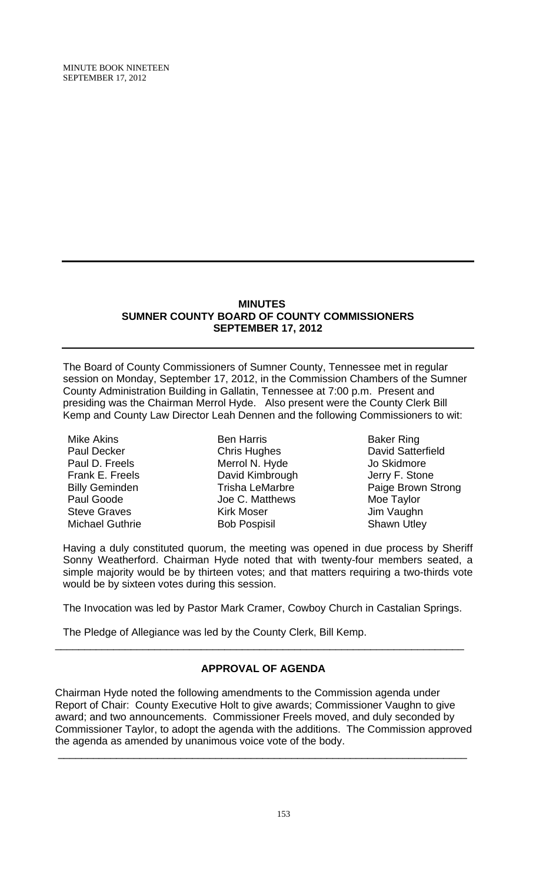MINUTE BOOK NINETEEN SEPTEMBER 17, 2012

#### **MINUTES SUMNER COUNTY BOARD OF COUNTY COMMISSIONERS SEPTEMBER 17, 2012**

The Board of County Commissioners of Sumner County, Tennessee met in regular session on Monday, September 17, 2012, in the Commission Chambers of the Sumner County Administration Building in Gallatin, Tennessee at 7:00 p.m. Present and presiding was the Chairman Merrol Hyde. Also present were the County Clerk Bill Kemp and County Law Director Leah Dennen and the following Commissioners to wit:

Mike Akins Paul Decker Paul D. Freels Frank E. Freels Billy Geminden Paul Goode Steve Graves Michael Guthrie

Ben Harris Chris Hughes Merrol N. Hyde David Kimbrough Trisha LeMarbre Joe C. Matthews Kirk Moser Bob Pospisil

Baker Ring David Satterfield Jo Skidmore Jerry F. Stone Paige Brown Strong Moe Taylor Jim Vaughn Shawn Utley

Having a duly constituted quorum, the meeting was opened in due process by Sheriff Sonny Weatherford. Chairman Hyde noted that with twenty-four members seated, a simple majority would be by thirteen votes; and that matters requiring a two-thirds vote would be by sixteen votes during this session.

The Invocation was led by Pastor Mark Cramer, Cowboy Church in Castalian Springs.

The Pledge of Allegiance was led by the County Clerk, Bill Kemp.

# **APPROVAL OF AGENDA**

\_\_\_\_\_\_\_\_\_\_\_\_\_\_\_\_\_\_\_\_\_\_\_\_\_\_\_\_\_\_\_\_\_\_\_\_\_\_\_\_\_\_\_\_\_\_\_\_\_\_\_\_\_\_\_\_\_\_\_\_\_\_\_\_\_\_\_\_\_\_

Chairman Hyde noted the following amendments to the Commission agenda under Report of Chair: County Executive Holt to give awards; Commissioner Vaughn to give award; and two announcements. Commissioner Freels moved, and duly seconded by Commissioner Taylor, to adopt the agenda with the additions. The Commission approved the agenda as amended by unanimous voice vote of the body.

\_\_\_\_\_\_\_\_\_\_\_\_\_\_\_\_\_\_\_\_\_\_\_\_\_\_\_\_\_\_\_\_\_\_\_\_\_\_\_\_\_\_\_\_\_\_\_\_\_\_\_\_\_\_\_\_\_\_\_\_\_\_\_\_\_\_\_\_\_\_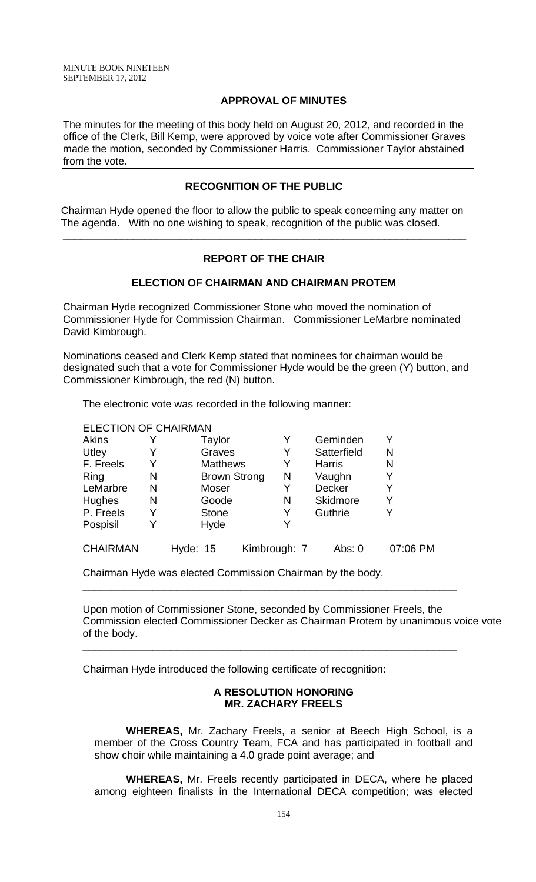### **APPROVAL OF MINUTES**

The minutes for the meeting of this body held on August 20, 2012, and recorded in the office of the Clerk, Bill Kemp, were approved by voice vote after Commissioner Graves made the motion, seconded by Commissioner Harris. Commissioner Taylor abstained from the vote.

### **RECOGNITION OF THE PUBLIC**

 Chairman Hyde opened the floor to allow the public to speak concerning any matter on The agenda. With no one wishing to speak, recognition of the public was closed.

### **REPORT OF THE CHAIR**

\_\_\_\_\_\_\_\_\_\_\_\_\_\_\_\_\_\_\_\_\_\_\_\_\_\_\_\_\_\_\_\_\_\_\_\_\_\_\_\_\_\_\_\_\_\_\_\_\_\_\_\_\_\_\_\_\_\_\_\_\_\_\_\_\_\_\_\_\_

### **ELECTION OF CHAIRMAN AND CHAIRMAN PROTEM**

Chairman Hyde recognized Commissioner Stone who moved the nomination of Commissioner Hyde for Commission Chairman. Commissioner LeMarbre nominated David Kimbrough.

Nominations ceased and Clerk Kemp stated that nominees for chairman would be designated such that a vote for Commissioner Hyde would be the green (Y) button, and Commissioner Kimbrough, the red (N) button.

The electronic vote was recorded in the following manner:

| <b>ELECTION OF CHAIRMAN</b> |   |                     |              |                 |          |
|-----------------------------|---|---------------------|--------------|-----------------|----------|
| <b>Akins</b>                |   | Taylor              | Y            | Geminden        | Y        |
| Utley                       |   | Graves              | Y            | Satterfield     | N        |
| F. Freels                   | Y | <b>Matthews</b>     |              | <b>Harris</b>   | N        |
| Ring                        | N | <b>Brown Strong</b> | N            | Vaughn          | Y        |
| LeMarbre                    | N | Moser               | Y            | <b>Decker</b>   | Y        |
| Hughes                      | N | Goode               | N            | <b>Skidmore</b> | Y        |
| P. Freels                   | Y | <b>Stone</b>        | Y            | Guthrie         | Y        |
| Pospisil                    |   | Hyde                |              |                 |          |
| <b>CHAIRMAN</b>             |   | Hyde: 15            | Kimbrough: 7 | Abs: $0$        | 07:06 PM |

Chairman Hyde was elected Commission Chairman by the body.

Upon motion of Commissioner Stone, seconded by Commissioner Freels, the Commission elected Commissioner Decker as Chairman Protem by unanimous voice vote of the body.

\_\_\_\_\_\_\_\_\_\_\_\_\_\_\_\_\_\_\_\_\_\_\_\_\_\_\_\_\_\_\_\_\_\_\_\_\_\_\_\_\_\_\_\_\_\_\_\_\_\_\_\_\_\_\_\_\_\_\_\_\_\_\_\_

\_\_\_\_\_\_\_\_\_\_\_\_\_\_\_\_\_\_\_\_\_\_\_\_\_\_\_\_\_\_\_\_\_\_\_\_\_\_\_\_\_\_\_\_\_\_\_\_\_\_\_\_\_\_\_\_\_\_\_\_\_\_\_\_

Chairman Hyde introduced the following certificate of recognition:

### **A RESOLUTION HONORING MR. ZACHARY FREELS**

 **WHEREAS,** Mr. Zachary Freels, a senior at Beech High School, is a member of the Cross Country Team, FCA and has participated in football and show choir while maintaining a 4.0 grade point average; and

**WHEREAS,** Mr. Freels recently participated in DECA, where he placed among eighteen finalists in the International DECA competition; was elected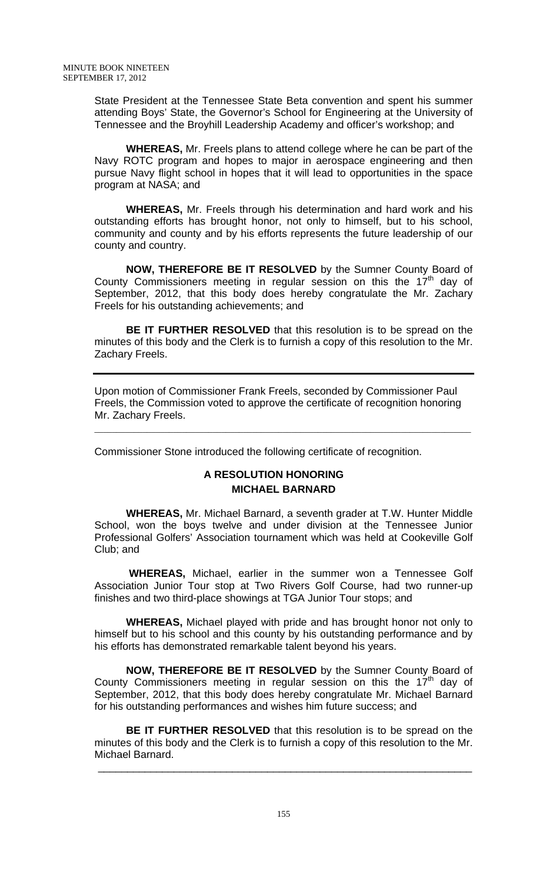State President at the Tennessee State Beta convention and spent his summer attending Boys' State, the Governor's School for Engineering at the University of Tennessee and the Broyhill Leadership Academy and officer's workshop; and

**WHEREAS,** Mr. Freels plans to attend college where he can be part of the Navy ROTC program and hopes to major in aerospace engineering and then pursue Navy flight school in hopes that it will lead to opportunities in the space program at NASA; and

**WHEREAS,** Mr. Freels through his determination and hard work and his outstanding efforts has brought honor, not only to himself, but to his school, community and county and by his efforts represents the future leadership of our county and country.

**NOW, THEREFORE BE IT RESOLVED** by the Sumner County Board of County Commissioners meeting in regular session on this the  $17<sup>th</sup>$  day of September, 2012, that this body does hereby congratulate the Mr. Zachary Freels for his outstanding achievements; and

**BE IT FURTHER RESOLVED** that this resolution is to be spread on the minutes of this body and the Clerk is to furnish a copy of this resolution to the Mr. Zachary Freels.

Upon motion of Commissioner Frank Freels, seconded by Commissioner Paul Freels, the Commission voted to approve the certificate of recognition honoring Mr. Zachary Freels.

Commissioner Stone introduced the following certificate of recognition.

\_\_\_\_\_\_\_\_\_\_\_\_\_\_\_\_\_\_\_\_\_\_\_\_\_\_\_\_\_\_\_\_\_\_\_\_\_\_\_\_\_\_\_\_\_\_\_\_\_\_\_\_\_\_\_\_\_\_\_\_\_\_\_\_\_\_\_\_\_\_\_\_\_\_\_\_\_\_\_\_\_\_\_\_\_\_

# **A RESOLUTION HONORING MICHAEL BARNARD**

 **WHEREAS,** Mr. Michael Barnard, a seventh grader at T.W. Hunter Middle School, won the boys twelve and under division at the Tennessee Junior Professional Golfers' Association tournament which was held at Cookeville Golf Club; and

 **WHEREAS,** Michael, earlier in the summer won a Tennessee Golf Association Junior Tour stop at Two Rivers Golf Course, had two runner-up finishes and two third-place showings at TGA Junior Tour stops; and

**WHEREAS,** Michael played with pride and has brought honor not only to himself but to his school and this county by his outstanding performance and by his efforts has demonstrated remarkable talent beyond his years.

**NOW, THEREFORE BE IT RESOLVED** by the Sumner County Board of County Commissioners meeting in regular session on this the  $17<sup>th</sup>$  day of September, 2012, that this body does hereby congratulate Mr. Michael Barnard for his outstanding performances and wishes him future success; and

**BE IT FURTHER RESOLVED** that this resolution is to be spread on the minutes of this body and the Clerk is to furnish a copy of this resolution to the Mr. Michael Barnard.

\_\_\_\_\_\_\_\_\_\_\_\_\_\_\_\_\_\_\_\_\_\_\_\_\_\_\_\_\_\_\_\_\_\_\_\_\_\_\_\_\_\_\_\_\_\_\_\_\_\_\_\_\_\_\_\_\_\_\_\_\_\_\_\_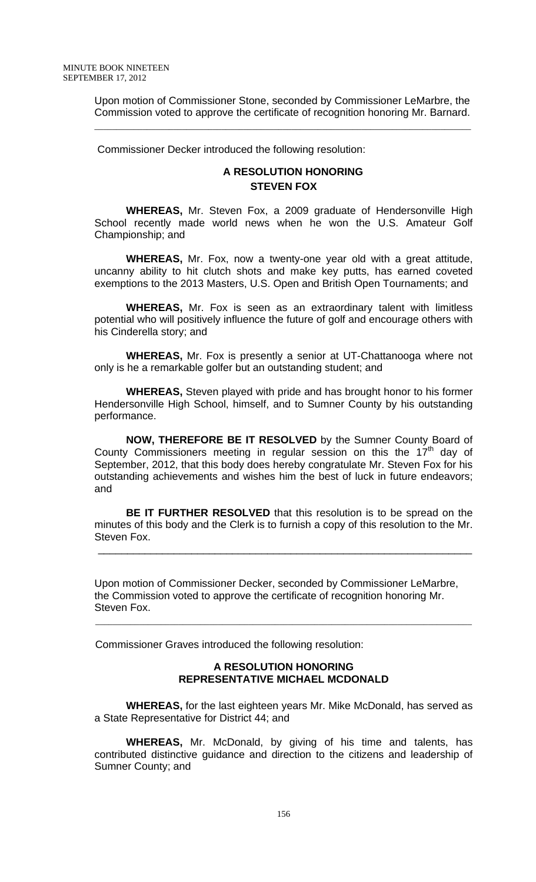Upon motion of Commissioner Stone, seconded by Commissioner LeMarbre, the Commission voted to approve the certificate of recognition honoring Mr. Barnard.

\_\_\_\_\_\_\_\_\_\_\_\_\_\_\_\_\_\_\_\_\_\_\_\_\_\_\_\_\_\_\_\_\_\_\_\_\_\_\_\_\_\_\_\_\_\_\_\_\_\_\_\_\_\_\_\_\_\_\_\_\_\_\_\_\_\_\_\_\_\_\_\_\_\_\_\_\_\_\_\_\_\_\_\_\_\_

Commissioner Decker introduced the following resolution:

# **A RESOLUTION HONORING STEVEN FOX**

**WHEREAS,** Mr. Steven Fox, a 2009 graduate of Hendersonville High School recently made world news when he won the U.S. Amateur Golf Championship; and

**WHEREAS,** Mr. Fox, now a twenty-one year old with a great attitude, uncanny ability to hit clutch shots and make key putts, has earned coveted exemptions to the 2013 Masters, U.S. Open and British Open Tournaments; and

**WHEREAS,** Mr. Fox is seen as an extraordinary talent with limitless potential who will positively influence the future of golf and encourage others with his Cinderella story; and

**WHEREAS,** Mr. Fox is presently a senior at UT-Chattanooga where not only is he a remarkable golfer but an outstanding student; and

**WHEREAS,** Steven played with pride and has brought honor to his former Hendersonville High School, himself, and to Sumner County by his outstanding performance.

**NOW, THEREFORE BE IT RESOLVED** by the Sumner County Board of County Commissioners meeting in regular session on this the  $17<sup>th</sup>$  day of September, 2012, that this body does hereby congratulate Mr. Steven Fox for his outstanding achievements and wishes him the best of luck in future endeavors; and

**BE IT FURTHER RESOLVED** that this resolution is to be spread on the minutes of this body and the Clerk is to furnish a copy of this resolution to the Mr. Steven Fox.

Upon motion of Commissioner Decker, seconded by Commissioner LeMarbre, the Commission voted to approve the certificate of recognition honoring Mr. Steven Fox.

 $\mathcal{L}_\mathcal{L} = \mathcal{L}_\mathcal{L} = \mathcal{L}_\mathcal{L} = \mathcal{L}_\mathcal{L} = \mathcal{L}_\mathcal{L} = \mathcal{L}_\mathcal{L} = \mathcal{L}_\mathcal{L} = \mathcal{L}_\mathcal{L} = \mathcal{L}_\mathcal{L} = \mathcal{L}_\mathcal{L} = \mathcal{L}_\mathcal{L} = \mathcal{L}_\mathcal{L} = \mathcal{L}_\mathcal{L} = \mathcal{L}_\mathcal{L} = \mathcal{L}_\mathcal{L} = \mathcal{L}_\mathcal{L} = \mathcal{L}_\mathcal{L}$ 

\_\_\_\_\_\_\_\_\_\_\_\_\_\_\_\_\_\_\_\_\_\_\_\_\_\_\_\_\_\_\_\_\_\_\_\_\_\_\_\_\_\_\_\_\_\_\_\_\_\_\_\_\_\_\_\_\_\_\_\_\_\_\_\_

Commissioner Graves introduced the following resolution:

### **A RESOLUTION HONORING REPRESENTATIVE MICHAEL MCDONALD**

 **WHEREAS,** for the last eighteen years Mr. Mike McDonald, has served as a State Representative for District 44; and

**WHEREAS,** Mr. McDonald, by giving of his time and talents, has contributed distinctive guidance and direction to the citizens and leadership of Sumner County; and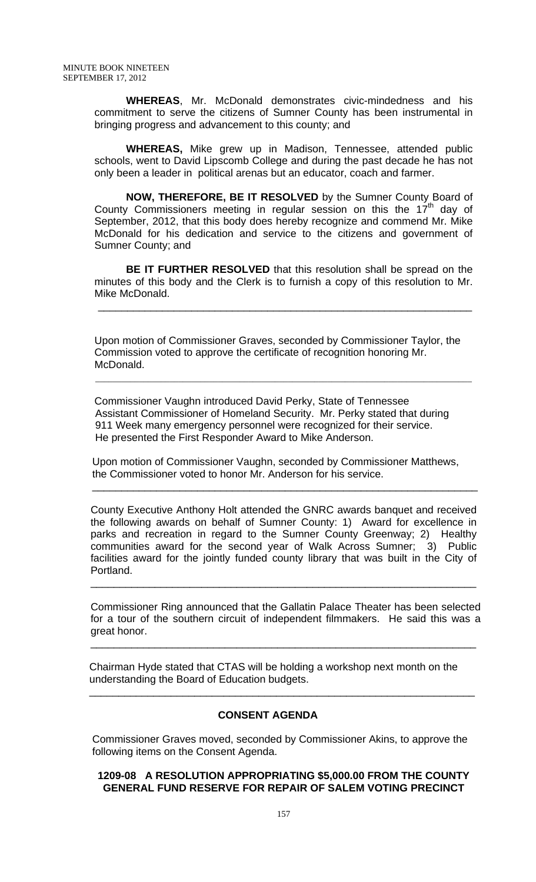**WHEREAS**, Mr. McDonald demonstrates civic-mindedness and his commitment to serve the citizens of Sumner County has been instrumental in bringing progress and advancement to this county; and

**WHEREAS,** Mike grew up in Madison, Tennessee, attended public schools, went to David Lipscomb College and during the past decade he has not only been a leader in political arenas but an educator, coach and farmer.

**NOW, THEREFORE, BE IT RESOLVED** by the Sumner County Board of County Commissioners meeting in regular session on this the  $17<sup>th</sup>$  day of September, 2012, that this body does hereby recognize and commend Mr. Mike McDonald for his dedication and service to the citizens and government of Sumner County; and

**BE IT FURTHER RESOLVED** that this resolution shall be spread on the minutes of this body and the Clerk is to furnish a copy of this resolution to Mr. Mike McDonald.

Upon motion of Commissioner Graves, seconded by Commissioner Taylor, the Commission voted to approve the certificate of recognition honoring Mr. McDonald.

\_\_\_\_\_\_\_\_\_\_\_\_\_\_\_\_\_\_\_\_\_\_\_\_\_\_\_\_\_\_\_\_\_\_\_\_\_\_\_\_\_\_\_\_\_\_\_\_\_\_\_\_\_\_\_\_\_\_\_\_\_\_\_\_

 Commissioner Vaughn introduced David Perky, State of Tennessee Assistant Commissioner of Homeland Security. Mr. Perky stated that during 911 Week many emergency personnel were recognized for their service. He presented the First Responder Award to Mike Anderson.

 $\mathcal{L}_\mathcal{L} = \mathcal{L}_\mathcal{L} = \mathcal{L}_\mathcal{L} = \mathcal{L}_\mathcal{L} = \mathcal{L}_\mathcal{L} = \mathcal{L}_\mathcal{L} = \mathcal{L}_\mathcal{L} = \mathcal{L}_\mathcal{L} = \mathcal{L}_\mathcal{L} = \mathcal{L}_\mathcal{L} = \mathcal{L}_\mathcal{L} = \mathcal{L}_\mathcal{L} = \mathcal{L}_\mathcal{L} = \mathcal{L}_\mathcal{L} = \mathcal{L}_\mathcal{L} = \mathcal{L}_\mathcal{L} = \mathcal{L}_\mathcal{L}$ 

 Upon motion of Commissioner Vaughn, seconded by Commissioner Matthews, the Commissioner voted to honor Mr. Anderson for his service.

 $\overline{\phantom{a}}$  , and the contribution of the contribution of the contribution of the contribution of the contribution of the contribution of the contribution of the contribution of the contribution of the contribution of the

County Executive Anthony Holt attended the GNRC awards banquet and received the following awards on behalf of Sumner County: 1) Award for excellence in parks and recreation in regard to the Sumner County Greenway; 2) Healthy communities award for the second year of Walk Across Sumner; 3) Public facilities award for the jointly funded county library that was built in the City of Portland.

Commissioner Ring announced that the Gallatin Palace Theater has been selected for a tour of the southern circuit of independent filmmakers. He said this was a great honor.

\_\_\_\_\_\_\_\_\_\_\_\_\_\_\_\_\_\_\_\_\_\_\_\_\_\_\_\_\_\_\_\_\_\_\_\_\_\_\_\_\_\_\_\_\_\_\_\_\_\_\_\_\_\_\_\_\_\_\_\_\_\_\_\_\_\_

\_\_\_\_\_\_\_\_\_\_\_\_\_\_\_\_\_\_\_\_\_\_\_\_\_\_\_\_\_\_\_\_\_\_\_\_\_\_\_\_\_\_\_\_\_\_\_\_\_\_\_\_\_\_\_\_\_\_\_\_\_\_\_\_\_\_

 Chairman Hyde stated that CTAS will be holding a workshop next month on the understanding the Board of Education budgets.

## **CONSENT AGENDA**

 $\frac{1}{\sqrt{2}}$  ,  $\frac{1}{\sqrt{2}}$  ,  $\frac{1}{\sqrt{2}}$  ,  $\frac{1}{\sqrt{2}}$  ,  $\frac{1}{\sqrt{2}}$  ,  $\frac{1}{\sqrt{2}}$  ,  $\frac{1}{\sqrt{2}}$  ,  $\frac{1}{\sqrt{2}}$  ,  $\frac{1}{\sqrt{2}}$  ,  $\frac{1}{\sqrt{2}}$  ,  $\frac{1}{\sqrt{2}}$  ,  $\frac{1}{\sqrt{2}}$  ,  $\frac{1}{\sqrt{2}}$  ,  $\frac{1}{\sqrt{2}}$  ,  $\frac{1}{\sqrt{2}}$ 

Commissioner Graves moved, seconded by Commissioner Akins, to approve the following items on the Consent Agenda.

#### **1209-08 A RESOLUTION APPROPRIATING \$5,000.00 FROM THE COUNTY GENERAL FUND RESERVE FOR REPAIR OF SALEM VOTING PRECINCT**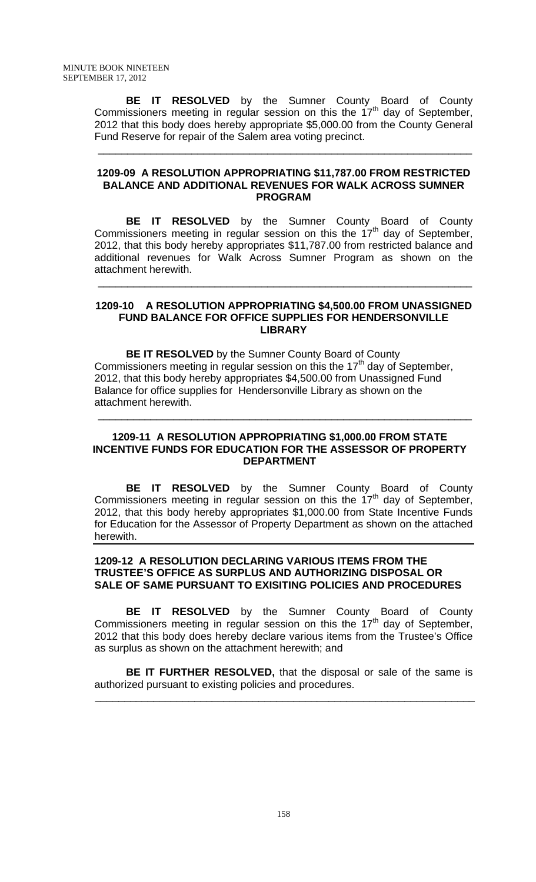**BE IT RESOLVED** by the Sumner County Board of County Commissioners meeting in regular session on this the  $17<sup>th</sup>$  day of September, 2012 that this body does hereby appropriate \$5,000.00 from the County General Fund Reserve for repair of the Salem area voting precinct.

 $\frac{1}{\sqrt{2}}$  ,  $\frac{1}{\sqrt{2}}$  ,  $\frac{1}{\sqrt{2}}$  ,  $\frac{1}{\sqrt{2}}$  ,  $\frac{1}{\sqrt{2}}$  ,  $\frac{1}{\sqrt{2}}$  ,  $\frac{1}{\sqrt{2}}$  ,  $\frac{1}{\sqrt{2}}$  ,  $\frac{1}{\sqrt{2}}$  ,  $\frac{1}{\sqrt{2}}$  ,  $\frac{1}{\sqrt{2}}$  ,  $\frac{1}{\sqrt{2}}$  ,  $\frac{1}{\sqrt{2}}$  ,  $\frac{1}{\sqrt{2}}$  ,  $\frac{1}{\sqrt{2}}$ 

#### **1209-09 A RESOLUTION APPROPRIATING \$11,787.00 FROM RESTRICTED BALANCE AND ADDITIONAL REVENUES FOR WALK ACROSS SUMNER PROGRAM**

 **BE IT RESOLVED** by the Sumner County Board of County Commissioners meeting in regular session on this the  $17<sup>th</sup>$  day of September, 2012, that this body hereby appropriates \$11,787.00 from restricted balance and additional revenues for Walk Across Sumner Program as shown on the attachment herewith.

#### **1209-10 A RESOLUTION APPROPRIATING \$4,500.00 FROM UNASSIGNED FUND BALANCE FOR OFFICE SUPPLIES FOR HENDERSONVILLE LIBRARY**

 $\frac{1}{\sqrt{2}}$  ,  $\frac{1}{\sqrt{2}}$  ,  $\frac{1}{\sqrt{2}}$  ,  $\frac{1}{\sqrt{2}}$  ,  $\frac{1}{\sqrt{2}}$  ,  $\frac{1}{\sqrt{2}}$  ,  $\frac{1}{\sqrt{2}}$  ,  $\frac{1}{\sqrt{2}}$  ,  $\frac{1}{\sqrt{2}}$  ,  $\frac{1}{\sqrt{2}}$  ,  $\frac{1}{\sqrt{2}}$  ,  $\frac{1}{\sqrt{2}}$  ,  $\frac{1}{\sqrt{2}}$  ,  $\frac{1}{\sqrt{2}}$  ,  $\frac{1}{\sqrt{2}}$ 

 **BE IT RESOLVED** by the Sumner County Board of County Commissioners meeting in regular session on this the  $17<sup>th</sup>$  day of September, 2012, that this body hereby appropriates \$4,500.00 from Unassigned Fund Balance for office supplies for Hendersonville Library as shown on the attachment herewith.

\_\_\_\_\_\_\_\_\_\_\_\_\_\_\_\_\_\_\_\_\_\_\_\_\_\_\_\_\_\_\_\_\_\_\_\_\_\_\_\_\_\_\_\_\_\_\_\_\_\_\_\_\_\_\_\_\_\_\_\_\_\_\_\_

### **1209-11 A RESOLUTION APPROPRIATING \$1,000.00 FROM STATE INCENTIVE FUNDS FOR EDUCATION FOR THE ASSESSOR OF PROPERTY DEPARTMENT**

**BE IT RESOLVED** by the Sumner County Board of County Commissioners meeting in regular session on this the  $17<sup>th</sup>$  day of September, 2012, that this body hereby appropriates \$1,000.00 from State Incentive Funds for Education for the Assessor of Property Department as shown on the attached herewith.

### **1209-12 A RESOLUTION DECLARING VARIOUS ITEMS FROM THE TRUSTEE'S OFFICE AS SURPLUS AND AUTHORIZING DISPOSAL OR SALE OF SAME PURSUANT TO EXISITING POLICIES AND PROCEDURES**

**BE IT RESOLVED** by the Sumner County Board of County Commissioners meeting in regular session on this the  $17<sup>th</sup>$  day of September, 2012 that this body does hereby declare various items from the Trustee's Office as surplus as shown on the attachment herewith; and

**BE IT FURTHER RESOLVED,** that the disposal or sale of the same is authorized pursuant to existing policies and procedures.

 $\overline{\phantom{a}}$  ,  $\overline{\phantom{a}}$  ,  $\overline{\phantom{a}}$  ,  $\overline{\phantom{a}}$  ,  $\overline{\phantom{a}}$  ,  $\overline{\phantom{a}}$  ,  $\overline{\phantom{a}}$  ,  $\overline{\phantom{a}}$  ,  $\overline{\phantom{a}}$  ,  $\overline{\phantom{a}}$  ,  $\overline{\phantom{a}}$  ,  $\overline{\phantom{a}}$  ,  $\overline{\phantom{a}}$  ,  $\overline{\phantom{a}}$  ,  $\overline{\phantom{a}}$  ,  $\overline{\phantom{a}}$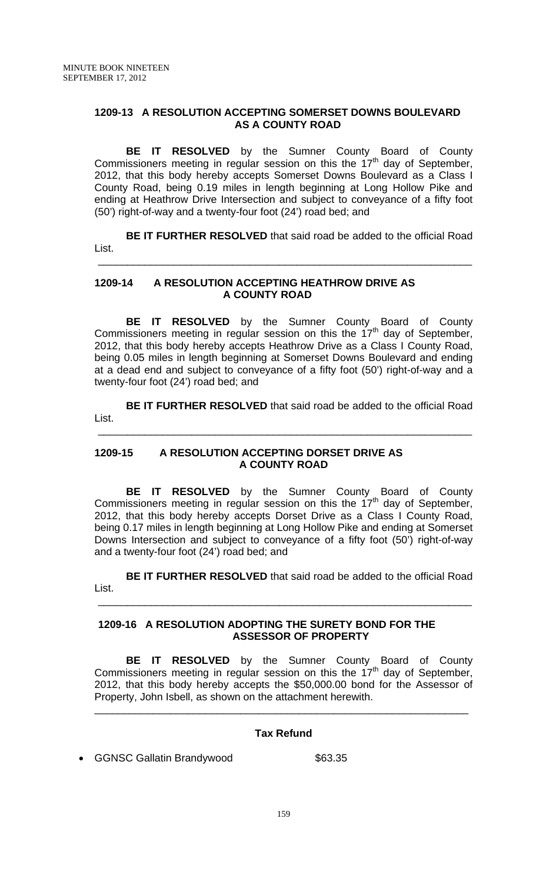### **1209-13 A RESOLUTION ACCEPTING SOMERSET DOWNS BOULEVARD AS A COUNTY ROAD**

**BE IT RESOLVED** by the Sumner County Board of County Commissioners meeting in regular session on this the  $17<sup>th</sup>$  day of September, 2012, that this body hereby accepts Somerset Downs Boulevard as a Class I County Road, being 0.19 miles in length beginning at Long Hollow Pike and ending at Heathrow Drive Intersection and subject to conveyance of a fifty foot (50') right-of-way and a twenty-four foot (24') road bed; and

**BE IT FURTHER RESOLVED** that said road be added to the official Road List.

### **1209-14 A RESOLUTION ACCEPTING HEATHROW DRIVE AS A COUNTY ROAD**

 $\overline{\phantom{a}}$  ,  $\overline{\phantom{a}}$  ,  $\overline{\phantom{a}}$  ,  $\overline{\phantom{a}}$  ,  $\overline{\phantom{a}}$  ,  $\overline{\phantom{a}}$  ,  $\overline{\phantom{a}}$  ,  $\overline{\phantom{a}}$  ,  $\overline{\phantom{a}}$  ,  $\overline{\phantom{a}}$  ,  $\overline{\phantom{a}}$  ,  $\overline{\phantom{a}}$  ,  $\overline{\phantom{a}}$  ,  $\overline{\phantom{a}}$  ,  $\overline{\phantom{a}}$  ,  $\overline{\phantom{a}}$ 

**BE IT RESOLVED** by the Sumner County Board of County Commissioners meeting in regular session on this the  $17<sup>th</sup>$  day of September, 2012, that this body hereby accepts Heathrow Drive as a Class I County Road, being 0.05 miles in length beginning at Somerset Downs Boulevard and ending at a dead end and subject to conveyance of a fifty foot (50') right-of-way and a twenty-four foot (24') road bed; and

**BE IT FURTHER RESOLVED** that said road be added to the official Road List.

\_\_\_\_\_\_\_\_\_\_\_\_\_\_\_\_\_\_\_\_\_\_\_\_\_\_\_\_\_\_\_\_\_\_\_\_\_\_\_\_\_\_\_\_\_\_\_\_\_\_\_\_\_\_\_\_\_\_\_\_\_\_\_\_

### **1209-15 A RESOLUTION ACCEPTING DORSET DRIVE AS A COUNTY ROAD**

**BE IT RESOLVED** by the Sumner County Board of County Commissioners meeting in regular session on this the 17<sup>th</sup> day of September, 2012, that this body hereby accepts Dorset Drive as a Class I County Road, being 0.17 miles in length beginning at Long Hollow Pike and ending at Somerset Downs Intersection and subject to conveyance of a fifty foot (50') right-of-way and a twenty-four foot (24') road bed; and

**BE IT FURTHER RESOLVED** that said road be added to the official Road List.

### **1209-16 A RESOLUTION ADOPTING THE SURETY BOND FOR THE ASSESSOR OF PROPERTY**

 $\frac{1}{\sqrt{2}}$  ,  $\frac{1}{\sqrt{2}}$  ,  $\frac{1}{\sqrt{2}}$  ,  $\frac{1}{\sqrt{2}}$  ,  $\frac{1}{\sqrt{2}}$  ,  $\frac{1}{\sqrt{2}}$  ,  $\frac{1}{\sqrt{2}}$  ,  $\frac{1}{\sqrt{2}}$  ,  $\frac{1}{\sqrt{2}}$  ,  $\frac{1}{\sqrt{2}}$  ,  $\frac{1}{\sqrt{2}}$  ,  $\frac{1}{\sqrt{2}}$  ,  $\frac{1}{\sqrt{2}}$  ,  $\frac{1}{\sqrt{2}}$  ,  $\frac{1}{\sqrt{2}}$ 

**BE IT RESOLVED** by the Sumner County Board of County Commissioners meeting in regular session on this the  $17<sup>th</sup>$  day of September, 2012, that this body hereby accepts the \$50,000.00 bond for the Assessor of Property, John Isbell, as shown on the attachment herewith.

## **Tax Refund**

\_\_\_\_\_\_\_\_\_\_\_\_\_\_\_\_\_\_\_\_\_\_\_\_\_\_\_\_\_\_\_\_\_\_\_\_\_\_\_\_\_\_\_\_\_\_\_\_\_\_\_\_\_\_\_\_\_\_\_\_\_\_\_\_

• GGNSC Gallatin Brandywood \$63.35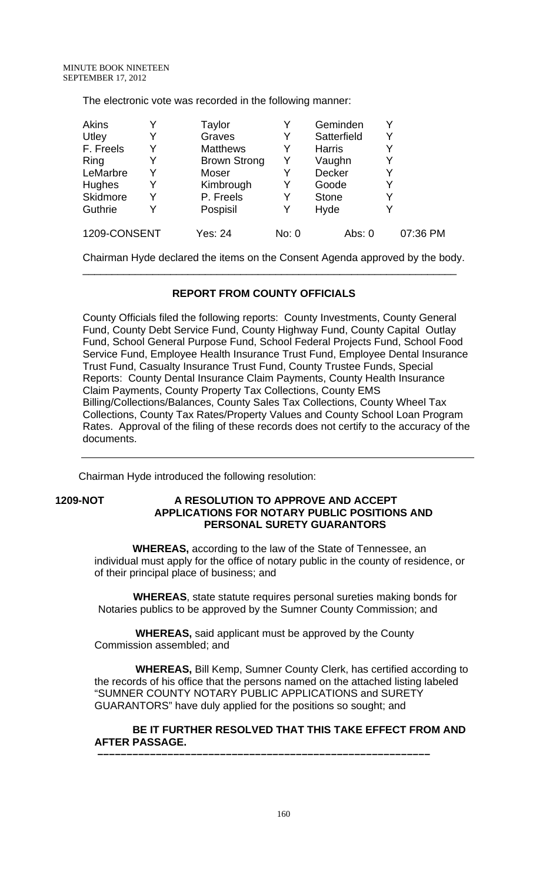The electronic vote was recorded in the following manner:

| <b>Akins</b> |   | Taylor              |       | Geminden      |          |
|--------------|---|---------------------|-------|---------------|----------|
| Utley        | Y | Graves              | Y     | Satterfield   |          |
| F. Freels    | Y | <b>Matthews</b>     | Y     | <b>Harris</b> |          |
| Ring         | Y | <b>Brown Strong</b> | Y     | Vaughn        |          |
| LeMarbre     | Y | Moser               |       | Decker        |          |
| Hughes       | Y | Kimbrough           | Y     | Goode         |          |
| Skidmore     | Y | P. Freels           | Y     | <b>Stone</b>  |          |
| Guthrie      | V | Pospisil            |       | Hyde          |          |
| 1209-CONSENT |   | Yes: 24             | No: 0 | Abs: 0        | 07:36 PM |

Chairman Hyde declared the items on the Consent Agenda approved by the body. \_\_\_\_\_\_\_\_\_\_\_\_\_\_\_\_\_\_\_\_\_\_\_\_\_\_\_\_\_\_\_\_\_\_\_\_\_\_\_\_\_\_\_\_\_\_\_\_\_\_\_\_\_\_\_\_\_\_\_\_\_\_\_\_

# **REPORT FROM COUNTY OFFICIALS**

County Officials filed the following reports: County Investments, County General Fund, County Debt Service Fund, County Highway Fund, County Capital Outlay Fund, School General Purpose Fund, School Federal Projects Fund, School Food Service Fund, Employee Health Insurance Trust Fund, Employee Dental Insurance Trust Fund, Casualty Insurance Trust Fund, County Trustee Funds, Special Reports: County Dental Insurance Claim Payments, County Health Insurance Claim Payments, County Property Tax Collections, County EMS Billing/Collections/Balances, County Sales Tax Collections, County Wheel Tax Collections, County Tax Rates/Property Values and County School Loan Program Rates. Approval of the filing of these records does not certify to the accuracy of the documents.

Chairman Hyde introduced the following resolution:

**1209-NOT A RESOLUTION TO APPROVE AND ACCEPT APPLICATIONS FOR NOTARY PUBLIC POSITIONS AND PERSONAL SURETY GUARANTORS** 

> **WHEREAS,** according to the law of the State of Tennessee, an individual must apply for the office of notary public in the county of residence, or of their principal place of business; and

 **WHEREAS**, state statute requires personal sureties making bonds for Notaries publics to be approved by the Sumner County Commission; and

 **WHEREAS,** said applicant must be approved by the County Commission assembled; and

 **WHEREAS,** Bill Kemp, Sumner County Clerk, has certified according to the records of his office that the persons named on the attached listing labeled "SUMNER COUNTY NOTARY PUBLIC APPLICATIONS and SURETY GUARANTORS" have duly applied for the positions so sought; and

 **BE IT FURTHER RESOLVED THAT THIS TAKE EFFECT FROM AND AFTER PASSAGE. –––––––––––––––––––––––––––––––––––––––––––––––––––––––––**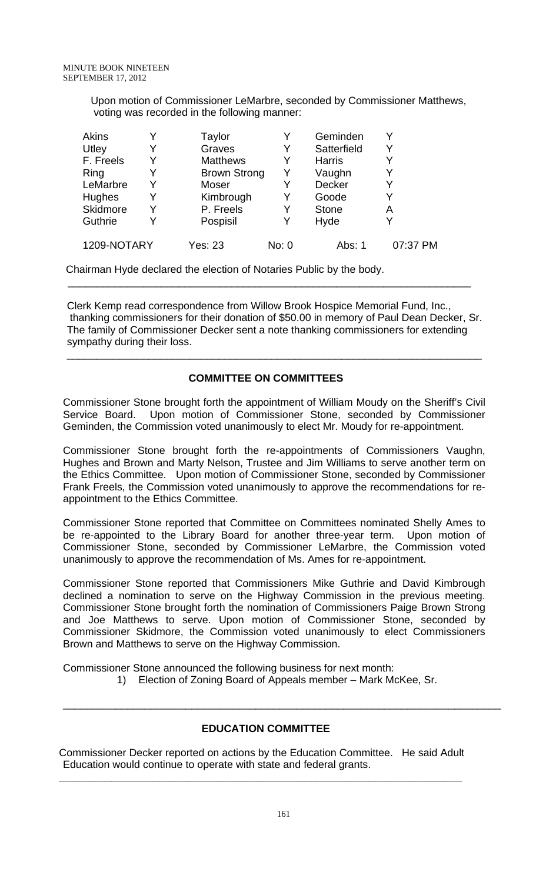Upon motion of Commissioner LeMarbre, seconded by Commissioner Matthews, voting was recorded in the following manner:

| <b>Akins</b> | Y | Taylor              | Y     | Geminden      |          |
|--------------|---|---------------------|-------|---------------|----------|
| Utley        | Y | Graves              | Y     | Satterfield   | Y        |
| F. Freels    | Y | <b>Matthews</b>     | Y     | <b>Harris</b> | Y        |
| Ring         | Y | <b>Brown Strong</b> | Υ     | Vaughn        | Y        |
| LeMarbre     | Y | Moser               | Y     | Decker        | Y        |
| Hughes       | Y | Kimbrough           | Y     | Goode         | Y        |
| Skidmore     | Y | P. Freels           | Y     | <b>Stone</b>  | А        |
| Guthrie      | Y | Pospisil            | Y     | Hyde          | Y        |
| 1209-NOTARY  |   | Yes: 23             | No: 0 | Abs: 1        | 07:37 PM |

Chairman Hyde declared the election of Notaries Public by the body.

Clerk Kemp read correspondence from Willow Brook Hospice Memorial Fund, Inc., thanking commissioners for their donation of \$50.00 in memory of Paul Dean Decker, Sr. The family of Commissioner Decker sent a note thanking commissioners for extending sympathy during their loss.

\_\_\_\_\_\_\_\_\_\_\_\_\_\_\_\_\_\_\_\_\_\_\_\_\_\_\_\_\_\_\_\_\_\_\_\_\_\_\_\_\_\_\_\_\_\_\_\_\_\_\_\_\_\_\_\_\_\_\_\_\_\_\_\_\_\_\_\_\_\_\_

 $\overline{\phantom{a}}$  , and the contribution of the contribution of the contribution of the contribution of the contribution of the contribution of the contribution of the contribution of the contribution of the contribution of the

## **COMMITTEE ON COMMITTEES**

Commissioner Stone brought forth the appointment of William Moudy on the Sheriff's Civil Service Board. Upon motion of Commissioner Stone, seconded by Commissioner Geminden, the Commission voted unanimously to elect Mr. Moudy for re-appointment.

Commissioner Stone brought forth the re-appointments of Commissioners Vaughn, Hughes and Brown and Marty Nelson, Trustee and Jim Williams to serve another term on the Ethics Committee. Upon motion of Commissioner Stone, seconded by Commissioner Frank Freels, the Commission voted unanimously to approve the recommendations for reappointment to the Ethics Committee.

Commissioner Stone reported that Committee on Committees nominated Shelly Ames to be re-appointed to the Library Board for another three-year term. Upon motion of Commissioner Stone, seconded by Commissioner LeMarbre, the Commission voted unanimously to approve the recommendation of Ms. Ames for re-appointment.

Commissioner Stone reported that Commissioners Mike Guthrie and David Kimbrough declined a nomination to serve on the Highway Commission in the previous meeting. Commissioner Stone brought forth the nomination of Commissioners Paige Brown Strong and Joe Matthews to serve. Upon motion of Commissioner Stone, seconded by Commissioner Skidmore, the Commission voted unanimously to elect Commissioners Brown and Matthews to serve on the Highway Commission.

Commissioner Stone announced the following business for next month:

1) Election of Zoning Board of Appeals member – Mark McKee, Sr.

\_\_\_\_\_\_\_\_\_\_\_\_\_\_\_\_\_\_\_\_\_\_\_\_\_\_\_\_\_\_\_\_\_\_\_\_\_\_\_\_\_\_\_\_\_\_\_\_\_\_\_\_\_\_\_\_\_\_\_\_\_\_\_\_\_\_\_\_\_\_\_\_\_\_\_

## **EDUCATION COMMITTEE**

Commissioner Decker reported on actions by the Education Committee. He said Adult Education would continue to operate with state and federal grants.

**\_\_\_\_\_\_\_\_\_\_\_\_\_\_\_\_\_\_\_\_\_\_\_\_\_\_\_\_\_\_\_\_\_\_\_\_\_\_\_\_\_\_\_\_\_\_\_\_\_\_\_\_\_\_\_\_\_\_\_\_\_\_\_\_\_\_\_\_\_**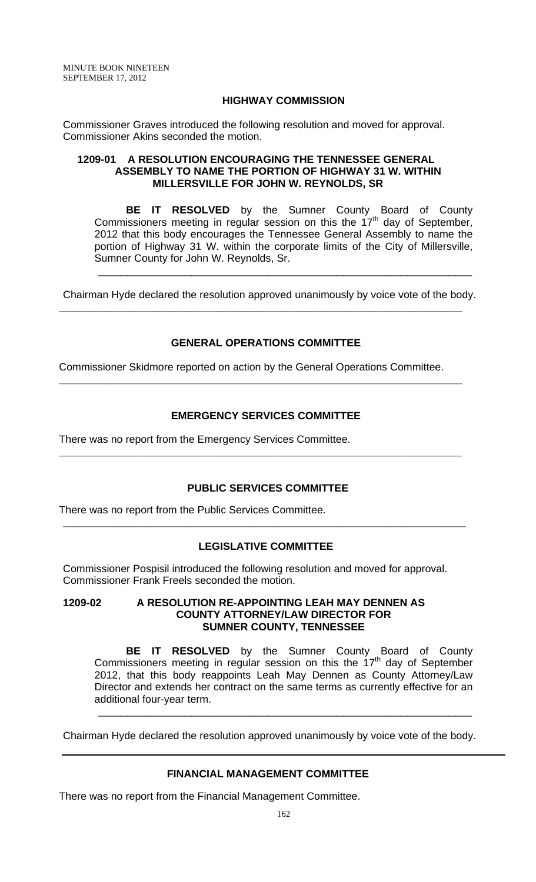### **HIGHWAY COMMISSION**

Commissioner Graves introduced the following resolution and moved for approval. Commissioner Akins seconded the motion.

### **1209-01 A RESOLUTION ENCOURAGING THE TENNESSEE GENERAL ASSEMBLY TO NAME THE PORTION OF HIGHWAY 31 W. WITHIN MILLERSVILLE FOR JOHN W. REYNOLDS, SR**

 **BE IT RESOLVED** by the Sumner County Board of County Commissioners meeting in regular session on this the  $17<sup>th</sup>$  day of September, 2012 that this body encourages the Tennessee General Assembly to name the portion of Highway 31 W. within the corporate limits of the City of Millersville, Sumner County for John W. Reynolds, Sr.

Chairman Hyde declared the resolution approved unanimously by voice vote of the body.

**\_\_\_\_\_\_\_\_\_\_\_\_\_\_\_\_\_\_\_\_\_\_\_\_\_\_\_\_\_\_\_\_\_\_\_\_\_\_\_\_\_\_\_\_\_\_\_\_\_\_\_\_\_\_\_\_\_\_\_\_\_\_\_\_\_\_\_\_\_** 

\_\_\_\_\_\_\_\_\_\_\_\_\_\_\_\_\_\_\_\_\_\_\_\_\_\_\_\_\_\_\_\_\_\_\_\_\_\_\_\_\_\_\_\_\_\_\_\_\_\_\_\_\_\_\_\_\_\_\_\_\_\_\_\_

## **GENERAL OPERATIONS COMMITTEE**

Commissioner Skidmore reported on action by the General Operations Committee.

**\_\_\_\_\_\_\_\_\_\_\_\_\_\_\_\_\_\_\_\_\_\_\_\_\_\_\_\_\_\_\_\_\_\_\_\_\_\_\_\_\_\_\_\_\_\_\_\_\_\_\_\_\_\_\_\_\_\_\_\_\_\_\_\_\_\_\_\_\_** 

## **EMERGENCY SERVICES COMMITTEE**

**\_\_\_\_\_\_\_\_\_\_\_\_\_\_\_\_\_\_\_\_\_\_\_\_\_\_\_\_\_\_\_\_\_\_\_\_\_\_\_\_\_\_\_\_\_\_\_\_\_\_\_\_\_\_\_\_\_\_\_\_\_\_\_\_\_\_\_\_\_** 

There was no report from the Emergency Services Committee.

## **PUBLIC SERVICES COMMITTEE**

There was no report from the Public Services Committee.

# **LEGISLATIVE COMMITTEE**

**\_\_\_\_\_\_\_\_\_\_\_\_\_\_\_\_\_\_\_\_\_\_\_\_\_\_\_\_\_\_\_\_\_\_\_\_\_\_\_\_\_\_\_\_\_\_\_\_\_\_\_\_\_\_\_\_\_\_\_\_\_\_\_\_\_\_\_\_\_**

Commissioner Pospisil introduced the following resolution and moved for approval. Commissioner Frank Freels seconded the motion.

#### **1209-02 A RESOLUTION RE-APPOINTING LEAH MAY DENNEN AS COUNTY ATTORNEY/LAW DIRECTOR FOR SUMNER COUNTY, TENNESSEE**

**BE IT RESOLVED** by the Sumner County Board of County Commissioners meeting in regular session on this the  $17<sup>th</sup>$  day of September 2012, that this body reappoints Leah May Dennen as County Attorney/Law Director and extends her contract on the same terms as currently effective for an additional four-year term.

Chairman Hyde declared the resolution approved unanimously by voice vote of the body.

\_\_\_\_\_\_\_\_\_\_\_\_\_\_\_\_\_\_\_\_\_\_\_\_\_\_\_\_\_\_\_\_\_\_\_\_\_\_\_\_\_\_\_\_\_\_\_\_\_\_\_\_\_\_\_\_\_\_\_\_\_\_\_\_

## **FINANCIAL MANAGEMENT COMMITTEE**

There was no report from the Financial Management Committee.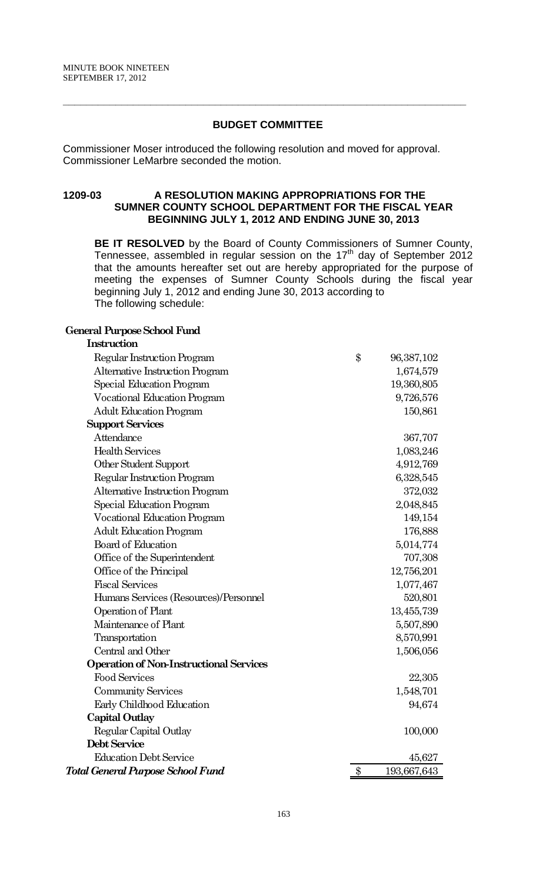# **BUDGET COMMITTEE**

**\_\_\_\_\_\_\_\_\_\_\_\_\_\_\_\_\_\_\_\_\_\_\_\_\_\_\_\_\_\_\_\_\_\_\_\_\_\_\_\_\_\_\_\_\_\_\_\_\_\_\_\_\_\_\_\_\_\_\_\_\_\_\_\_\_\_\_\_\_**

Commissioner Moser introduced the following resolution and moved for approval. Commissioner LeMarbre seconded the motion.

### **1209-03 A RESOLUTION MAKING APPROPRIATIONS FOR THE SUMNER COUNTY SCHOOL DEPARTMENT FOR THE FISCAL YEAR BEGINNING JULY 1, 2012 AND ENDING JUNE 30, 2013**

**BE IT RESOLVED** by the Board of County Commissioners of Sumner County, Tennessee, assembled in regular session on the  $17<sup>th</sup>$  day of September 2012 that the amounts hereafter set out are hereby appropriated for the purpose of meeting the expenses of Sumner County Schools during the fiscal year beginning July 1, 2012 and ending June 30, 2013 according to The following schedule:

#### **General Purpose School Fund**

| Instruction                                    |                   |
|------------------------------------------------|-------------------|
| Regular Instruction Program                    | \$<br>96,387,102  |
| Alternative Instruction Program                | 1,674,579         |
| Special Education Program                      | 19,360,805        |
| <b>Vocational Education Program</b>            | 9,726,576         |
| <b>Adult Education Program</b>                 | 150,861           |
| <b>Support Services</b>                        |                   |
| Attendance                                     | 367,707           |
| <b>Health Services</b>                         | 1,083,246         |
| Other Student Support                          | 4,912,769         |
| Regular Instruction Program                    | 6,328,545         |
| Alternative Instruction Program                | 372,032           |
| Special Education Program                      | 2,048,845         |
| <b>Vocational Education Program</b>            | 149,154           |
| <b>Adult Education Program</b>                 | 176,888           |
| <b>Board of Education</b>                      | 5,014,774         |
| Office of the Superintendent                   | 707,308           |
| Office of the Principal                        | 12,756,201        |
| <b>Fiscal Services</b>                         | 1,077,467         |
| Humans Services (Resources)/Personnel          | 520,801           |
| Operation of Plant                             | 13,455,739        |
| Maintenance of Plant                           | 5,507,890         |
| Transportation                                 | 8,570,991         |
| Central and Other                              | 1,506,056         |
| <b>Operation of Non-Instructional Services</b> |                   |
| <b>Food Services</b>                           | 22,305            |
| <b>Community Services</b>                      | 1,548,701         |
| Early Childhood Education                      | 94,674            |
| <b>Capital Outlay</b>                          |                   |
| Regular Capital Outlay                         | 100,000           |
| Debt Service                                   |                   |
| <b>Education Debt Service</b>                  | 45,627            |
| Total General Purpose School Fund              | \$<br>193,667,643 |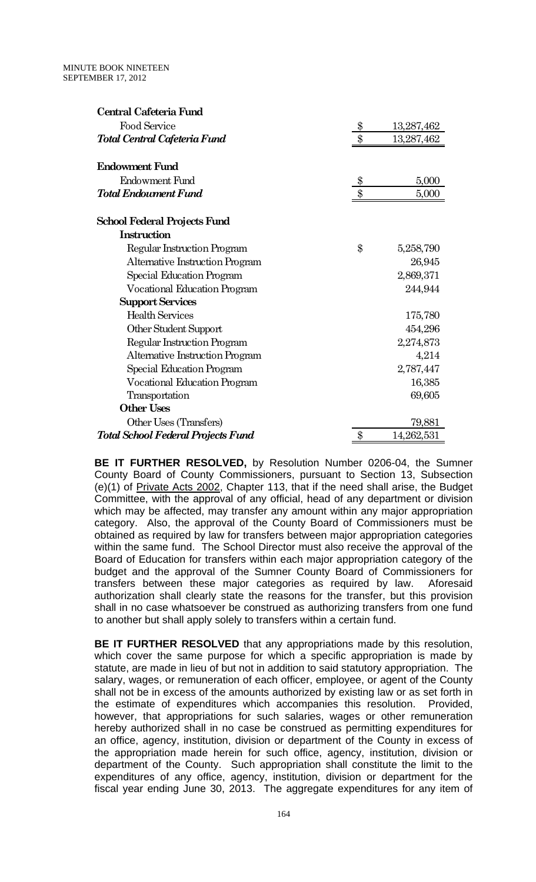| Central Cafeteria Fund                    |               |            |
|-------------------------------------------|---------------|------------|
| <b>Food Service</b>                       | $\frac{3}{2}$ | 13,287,462 |
| Total Central Cafeteria Fund              | $\$\$         | 13,287,462 |
| <b>Endowment Fund</b>                     |               |            |
| Endowment Fund                            | $\$\$         | 5,000      |
| <b>Total Endowment Fund</b>               | \$            | 5,000      |
| School Federal Projects Fund              |               |            |
| <b>Instruction</b>                        |               |            |
| Regular Instruction Program               | \$            | 5,258,790  |
| Alternative Instruction Program           |               | 26,945     |
| Special Education Program                 |               | 2,869,371  |
| <b>Vocational Education Program</b>       |               | 244,944    |
| <b>Support Services</b>                   |               |            |
| <b>Health Services</b>                    |               | 175,780    |
| Other Student Support                     |               | 454,296    |
| Regular Instruction Program               |               | 2,274,873  |
| Alternative Instruction Program           |               | 4,214      |
| Special Education Program                 |               | 2,787,447  |
| <b>Vocational Education Program</b>       |               | 16,385     |
| Transportation                            |               | 69,605     |
| <b>Other Uses</b>                         |               |            |
| Other Uses (Transfers)                    |               | 79,881     |
| <b>Total School Federal Projects Fund</b> | \$            | 14,262,531 |

**BE IT FURTHER RESOLVED,** by Resolution Number 0206-04, the Sumner County Board of County Commissioners, pursuant to Section 13, Subsection (e)(1) of Private Acts 2002, Chapter 113, that if the need shall arise, the Budget Committee, with the approval of any official, head of any department or division which may be affected, may transfer any amount within any major appropriation category. Also, the approval of the County Board of Commissioners must be obtained as required by law for transfers between major appropriation categories within the same fund. The School Director must also receive the approval of the Board of Education for transfers within each major appropriation category of the budget and the approval of the Sumner County Board of Commissioners for transfers between these major categories as required by law. Aforesaid authorization shall clearly state the reasons for the transfer, but this provision shall in no case whatsoever be construed as authorizing transfers from one fund to another but shall apply solely to transfers within a certain fund.

**BE IT FURTHER RESOLVED** that any appropriations made by this resolution, which cover the same purpose for which a specific appropriation is made by statute, are made in lieu of but not in addition to said statutory appropriation. The salary, wages, or remuneration of each officer, employee, or agent of the County shall not be in excess of the amounts authorized by existing law or as set forth in the estimate of expenditures which accompanies this resolution. Provided, however, that appropriations for such salaries, wages or other remuneration hereby authorized shall in no case be construed as permitting expenditures for an office, agency, institution, division or department of the County in excess of the appropriation made herein for such office, agency, institution, division or department of the County. Such appropriation shall constitute the limit to the expenditures of any office, agency, institution, division or department for the fiscal year ending June 30, 2013. The aggregate expenditures for any item of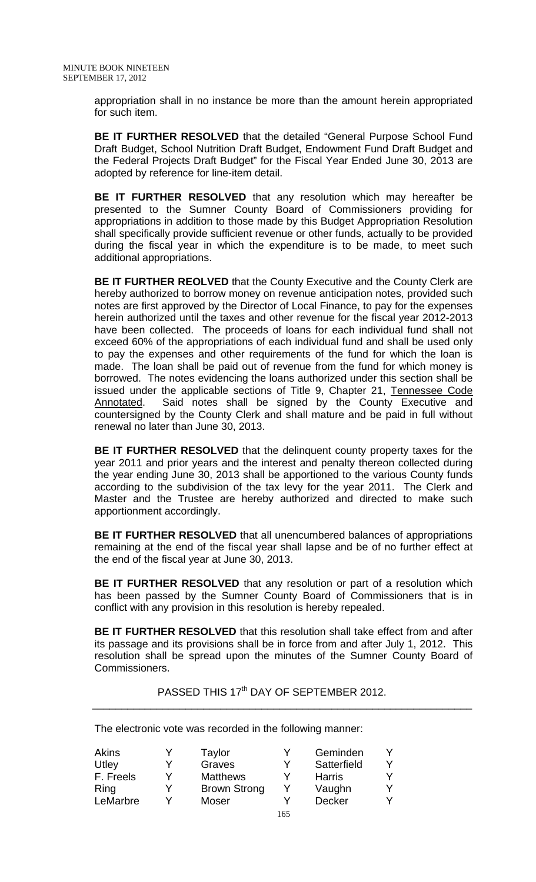appropriation shall in no instance be more than the amount herein appropriated for such item.

**BE IT FURTHER RESOLVED** that the detailed "General Purpose School Fund Draft Budget, School Nutrition Draft Budget, Endowment Fund Draft Budget and the Federal Projects Draft Budget" for the Fiscal Year Ended June 30, 2013 are adopted by reference for line-item detail.

**BE IT FURTHER RESOLVED** that any resolution which may hereafter be presented to the Sumner County Board of Commissioners providing for appropriations in addition to those made by this Budget Appropriation Resolution shall specifically provide sufficient revenue or other funds, actually to be provided during the fiscal year in which the expenditure is to be made, to meet such additional appropriations.

**BE IT FURTHER REOLVED** that the County Executive and the County Clerk are hereby authorized to borrow money on revenue anticipation notes, provided such notes are first approved by the Director of Local Finance, to pay for the expenses herein authorized until the taxes and other revenue for the fiscal year 2012-2013 have been collected. The proceeds of loans for each individual fund shall not exceed 60% of the appropriations of each individual fund and shall be used only to pay the expenses and other requirements of the fund for which the loan is made. The loan shall be paid out of revenue from the fund for which money is borrowed. The notes evidencing the loans authorized under this section shall be issued under the applicable sections of Title 9, Chapter 21, Tennessee Code Annotated. Said notes shall be signed by the County Executive and countersigned by the County Clerk and shall mature and be paid in full without renewal no later than June 30, 2013.

**BE IT FURTHER RESOLVED** that the delinquent county property taxes for the year 2011 and prior years and the interest and penalty thereon collected during the year ending June 30, 2013 shall be apportioned to the various County funds according to the subdivision of the tax levy for the year 2011. The Clerk and Master and the Trustee are hereby authorized and directed to make such apportionment accordingly.

**BE IT FURTHER RESOLVED** that all unencumbered balances of appropriations remaining at the end of the fiscal year shall lapse and be of no further effect at the end of the fiscal year at June 30, 2013.

**BE IT FURTHER RESOLVED** that any resolution or part of a resolution which has been passed by the Sumner County Board of Commissioners that is in conflict with any provision in this resolution is hereby repealed.

**BE IT FURTHER RESOLVED** that this resolution shall take effect from and after its passage and its provisions shall be in force from and after July 1, 2012. This resolution shall be spread upon the minutes of the Sumner County Board of Commissioners.

PASSED THIS 17<sup>th</sup> DAY OF SEPTEMBER 2012.  $\overline{\phantom{a}}$  , and the contribution of the contribution of the contribution of the contribution of the contribution of  $\overline{\phantom{a}}$ 

The electronic vote was recorded in the following manner:

| <b>Akins</b> |   | Taylor              | Y   | Geminden      |  |
|--------------|---|---------------------|-----|---------------|--|
| Utley        |   | Graves              | v   | Satterfield   |  |
| F. Freels    | v | <b>Matthews</b>     |     | <b>Harris</b> |  |
| Ring         |   | <b>Brown Strong</b> |     | Vaughn        |  |
| LeMarbre     |   | Moser               |     | <b>Decker</b> |  |
|              |   |                     | 165 |               |  |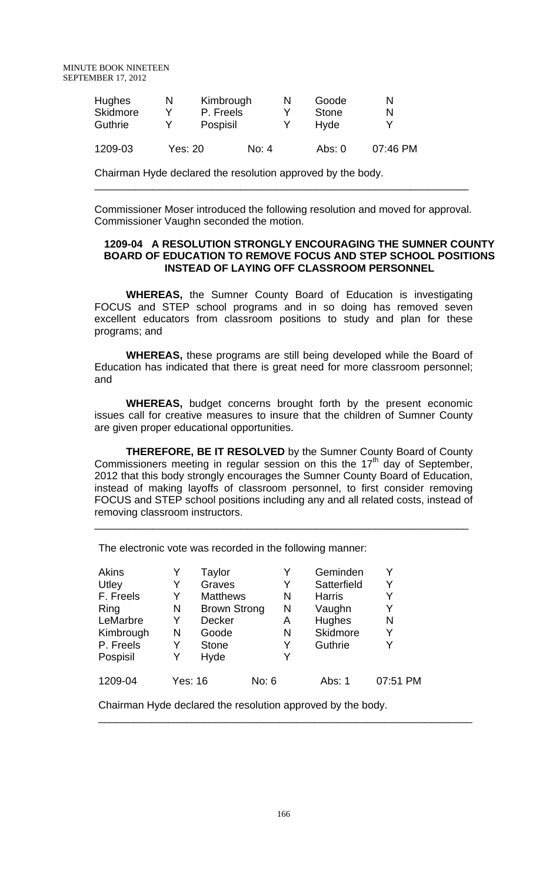| <b>Hughes</b><br><b>Skidmore</b><br><b>Guthrie</b> | N | Kimbrough<br>P. Freels<br>Pospisil |         | N | Goode<br><b>Stone</b><br>Hyde | N        |
|----------------------------------------------------|---|------------------------------------|---------|---|-------------------------------|----------|
| 1209-03                                            |   | Yes: 20                            | No: $4$ |   | Abs: $0$                      | 07:46 PM |

Chairman Hyde declared the resolution approved by the body.

Commissioner Moser introduced the following resolution and moved for approval. Commissioner Vaughn seconded the motion.

\_\_\_\_\_\_\_\_\_\_\_\_\_\_\_\_\_\_\_\_\_\_\_\_\_\_\_\_\_\_\_\_\_\_\_\_\_\_\_\_\_\_\_\_\_\_\_\_\_\_\_\_\_\_\_\_\_\_\_\_\_\_\_\_

### **1209-04 A RESOLUTION STRONGLY ENCOURAGING THE SUMNER COUNTY BOARD OF EDUCATION TO REMOVE FOCUS AND STEP SCHOOL POSITIONS INSTEAD OF LAYING OFF CLASSROOM PERSONNEL**

**WHEREAS,** the Sumner County Board of Education is investigating FOCUS and STEP school programs and in so doing has removed seven excellent educators from classroom positions to study and plan for these programs; and

**WHEREAS,** these programs are still being developed while the Board of Education has indicated that there is great need for more classroom personnel; and

**WHEREAS,** budget concerns brought forth by the present economic issues call for creative measures to insure that the children of Sumner County are given proper educational opportunities.

**THEREFORE, BE IT RESOLVED** by the Sumner County Board of County Commissioners meeting in regular session on this the  $17<sup>th</sup>$  day of September, 2012 that this body strongly encourages the Sumner County Board of Education, instead of making layoffs of classroom personnel, to first consider removing FOCUS and STEP school positions including any and all related costs, instead of removing classroom instructors.

\_\_\_\_\_\_\_\_\_\_\_\_\_\_\_\_\_\_\_\_\_\_\_\_\_\_\_\_\_\_\_\_\_\_\_\_\_\_\_\_\_\_\_\_\_\_\_\_\_\_\_\_\_\_\_\_\_\_\_\_\_\_\_\_

The electronic vote was recorded in the following manner:

| <b>Akins</b> |                | Taylor              |       |   | Geminden      |          |
|--------------|----------------|---------------------|-------|---|---------------|----------|
| Utley        | Y              | Graves              |       | Y | Satterfield   | Y        |
| F. Freels    | Y              | <b>Matthews</b>     |       | N | <b>Harris</b> | Y        |
| Ring         | N              | <b>Brown Strong</b> |       | N | Vaughn        | Y        |
| LeMarbre     | Y              | <b>Decker</b>       |       | Α | <b>Hughes</b> | N        |
| Kimbrough    | N              | Goode               |       | N | Skidmore      | Y        |
| P. Freels    | Y              | <b>Stone</b>        |       | Y | Guthrie       | v        |
| Pospisil     | Y              | Hyde                |       | Y |               |          |
| 1209-04      | <b>Yes: 16</b> |                     | No: 6 |   | Abs: 1        | 07:51 PM |

Chairman Hyde declared the resolution approved by the body.

\_\_\_\_\_\_\_\_\_\_\_\_\_\_\_\_\_\_\_\_\_\_\_\_\_\_\_\_\_\_\_\_\_\_\_\_\_\_\_\_\_\_\_\_\_\_\_\_\_\_\_\_\_\_\_\_\_\_\_\_\_\_\_\_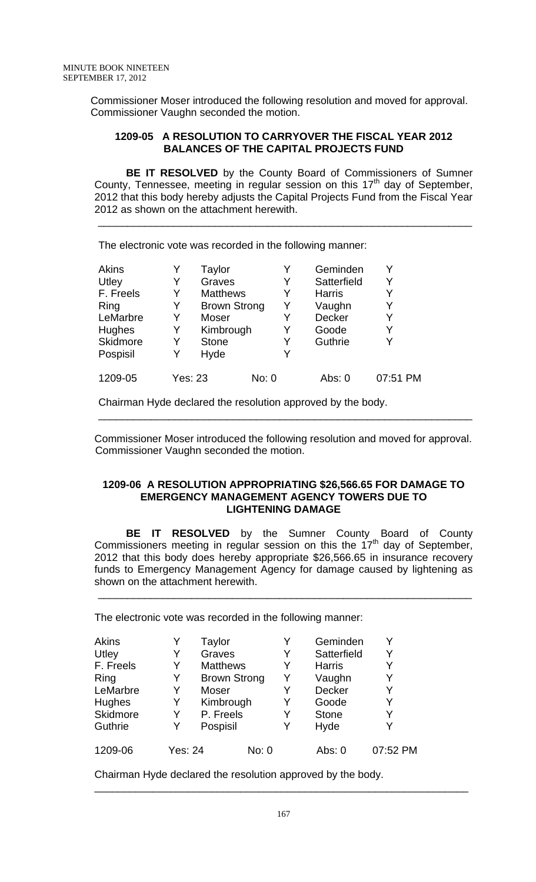Commissioner Moser introduced the following resolution and moved for approval. Commissioner Vaughn seconded the motion.

### **1209-05 A RESOLUTION TO CARRYOVER THE FISCAL YEAR 2012 BALANCES OF THE CAPITAL PROJECTS FUND**

**BE IT RESOLVED** by the County Board of Commissioners of Sumner County, Tennessee, meeting in regular session on this  $17<sup>th</sup>$  day of September, 2012 that this body hereby adjusts the Capital Projects Fund from the Fiscal Year 2012 as shown on the attachment herewith.

 $\overline{\phantom{a}}$  ,  $\overline{\phantom{a}}$  ,  $\overline{\phantom{a}}$  ,  $\overline{\phantom{a}}$  ,  $\overline{\phantom{a}}$  ,  $\overline{\phantom{a}}$  ,  $\overline{\phantom{a}}$  ,  $\overline{\phantom{a}}$  ,  $\overline{\phantom{a}}$  ,  $\overline{\phantom{a}}$  ,  $\overline{\phantom{a}}$  ,  $\overline{\phantom{a}}$  ,  $\overline{\phantom{a}}$  ,  $\overline{\phantom{a}}$  ,  $\overline{\phantom{a}}$  ,  $\overline{\phantom{a}}$ 

The electronic vote was recorded in the following manner:

| <b>Akins</b>    |                | Taylor              |       |   | Geminden      |          |
|-----------------|----------------|---------------------|-------|---|---------------|----------|
| Utley           | Y              | Graves              |       | Y | Satterfield   | Y        |
| F. Freels       | Y              | <b>Matthews</b>     |       | Y | <b>Harris</b> |          |
| Ring            | Y              | <b>Brown Strong</b> |       | Y | Vaughn        | Y        |
| LeMarbre        | Y              | Moser               |       | Y | <b>Decker</b> | Y        |
| <b>Hughes</b>   | Y              | Kimbrough           |       | Y | Goode         | Y        |
| <b>Skidmore</b> | Y              | <b>Stone</b>        |       | Y | Guthrie       |          |
| Pospisil        | Y              | Hyde                |       | Y |               |          |
| 1209-05         | <b>Yes: 23</b> |                     | No: 0 |   | Abs: 0        | 07:51 PM |

Chairman Hyde declared the resolution approved by the body.

 Commissioner Moser introduced the following resolution and moved for approval. Commissioner Vaughn seconded the motion.

\_\_\_\_\_\_\_\_\_\_\_\_\_\_\_\_\_\_\_\_\_\_\_\_\_\_\_\_\_\_\_\_\_\_\_\_\_\_\_\_\_\_\_\_\_\_\_\_\_\_\_\_\_\_\_\_\_\_\_\_\_\_\_\_

#### **1209-06 A RESOLUTION APPROPRIATING \$26,566.65 FOR DAMAGE TO EMERGENCY MANAGEMENT AGENCY TOWERS DUE TO LIGHTENING DAMAGE**

 **BE IT RESOLVED** by the Sumner County Board of County Commissioners meeting in regular session on this the  $17<sup>th</sup>$  day of September, 2012 that this body does hereby appropriate \$26,566.65 in insurance recovery funds to Emergency Management Agency for damage caused by lightening as shown on the attachment herewith.

\_\_\_\_\_\_\_\_\_\_\_\_\_\_\_\_\_\_\_\_\_\_\_\_\_\_\_\_\_\_\_\_\_\_\_\_\_\_\_\_\_\_\_\_\_\_\_\_\_\_\_\_\_\_\_\_\_\_\_\_\_\_\_\_

The electronic vote was recorded in the following manner:

| <b>Akins</b> |         | Taylor              |       | Y | Geminden      | Y        |
|--------------|---------|---------------------|-------|---|---------------|----------|
| Utley        |         | Graves              |       | Y | Satterfield   | Y        |
| F. Freels    | Y       | <b>Matthews</b>     |       | Y | <b>Harris</b> | Y        |
| Ring         | Y       | <b>Brown Strong</b> |       | Y | Vaughn        | Y        |
| LeMarbre     | Y       | Moser               |       | Y | <b>Decker</b> | Y        |
| Hughes       | Y       | Kimbrough           |       | Y | Goode         | Y        |
| Skidmore     | Y       | P. Freels           |       | Y | <b>Stone</b>  | Y        |
| Guthrie      | Y       | Pospisil            |       | Y | Hyde          | Y        |
| 1209-06      | Yes: 24 |                     | No: 0 |   | Abs: $0$      | 07:52 PM |

Chairman Hyde declared the resolution approved by the body.

\_\_\_\_\_\_\_\_\_\_\_\_\_\_\_\_\_\_\_\_\_\_\_\_\_\_\_\_\_\_\_\_\_\_\_\_\_\_\_\_\_\_\_\_\_\_\_\_\_\_\_\_\_\_\_\_\_\_\_\_\_\_\_\_